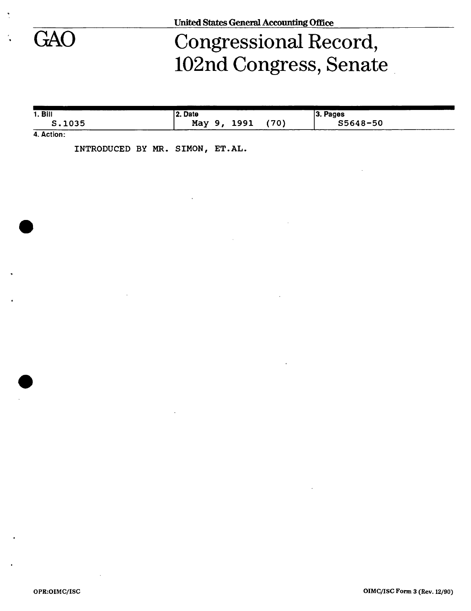## GAO Congressional Record, 102nd Congress, Senate

| 70)<br>May 9, 1991<br>S.1035 |              |
|------------------------------|--------------|
|                              | $S5648 - 50$ |

4. Action:

INTRODUCED BY MR. SIMON, ET.AL.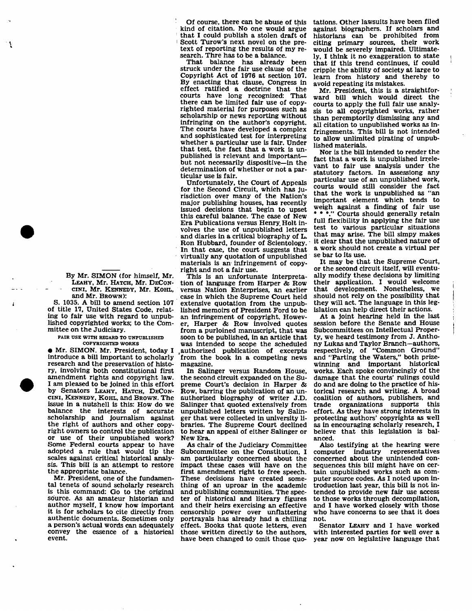By Mr. SIMON (for himself, Mr. LEAHY, Mr. HATCH, Mr. DECON-CTNI, Mr. KENNEDY, Mr. KOHL, and Mr. BROWN):

S. 1035. A bill to amend section 107 of title 17, United States Code, relating to fair use with regard to unpublished copyrighted works; to the Committee on the Judiciary.

ŧ

**FAIR USE WITH REGARD TO UNPUBLISHED COPYRIGHTED WORKS** 

• Mr. SIMON. Mr. President, today I introduce a bill important to scholarly research and the preservation of history, involving both constitutional first amendment rights and copyright law. I am pleased to be joined in this effort by Senators LEAHY, HATCH, DECON-CINI, KENNEDY, KOHL, and BROWN. The issue in a nutshell is this: How do we balance the interests of accurate scholarship and journalism against the right of authors and other copyright owners to control the publication or use of their unpublished work? Some Federal courts appear to have adopted a rule that would tip the scales against critical historical analysis. This bill is an attempt to restore the appropriate balance.

Mr. President, one of the fundamental tenets of sound scholarly research is this command: Go to the original source. As an amateur historian and author myself, I know how important it is for scholars to cite directly from authentic documents. Sometimes only a person's actual words can adequately convey the essence of a historical event.

Of course, there can be abuse of this kind of citation. No one would argue that I could publish a stolen draft of Scott Turow's next novel on the pretext of reporting the results of my research. Thre has to be a balance.

That balance has already been struck under the fair use clause of the Copyright Act of 1976 at section 107. By enacting that clause. Congress in effect ratified a doctrine that the courts have long recognized: That there can be limited fair use of copyrighted material for purposes such as scholarship or news reporting without infringing on the author's copyright. The courts have developed a complex and sophisticated test for interpreting whether a particular use is fair. Under that test, the fact that a work is unpublished is relevant and important but not necessarily dispositive—in the determination of whether or not a particular use is fair.

Unfortunately, the Court of Appeals for the Second Circuit, which has jurisdiction over many of the Nation's major publishing houses, has recently issued decisions that begin to upset this careful balance. The case of New Era Publications versus Henry. Holt involves the use of unpublished letters and diaries in a critical biography of L. Ron Hubbard, founder of Scientology. In that case, the court suggests that virtually any quotation of unpublished materials is an infringement of copyright and not a fair use.

This is an unfortunate Interpretation of language from Harper & Row versus Nation Enterprises, an earlier case in which the Supreme Court held extensive quotation from the unpublished memoirs of President Ford to be an infringement of copyright. However, Harper & Row involved quotes from a purloined manuscript, that was soon to be published, in an article that was intended to scope the scheduled ^authorized publication of excerpts from the book in a competing news magazine.

In Salinger versus Random House, the second circuit expanded on the Supreme Court's decision in Harper & Row, barring the publication of an unauthorized biography of writer J.D. Salinger that quoted extensively from unpublished letters written by Salinger that were collected in university libraries. The Supreme Court declined to hear an appeal of either Salinger or New Era.

As chair of the Judiciary Committee Subcommittee on the Constitution, I am particularly concerned about the impact these cases will have on the first amendment right to free speech. These decisions have created something of an uproar in the academic and publishing communities. The specter of historical and literary figures and their heirs exercising an effective censorship power over unflattering portrayals has already had a chilling effect. Books that quote letters, even those written directly to the authors, have been changed to omit those quo-

tations. Other lawsuits have been filed against biographers. If scholars and historians can be prohibited from citing primary sources, their work would be severely impaired. Ultimately, I think it no exaggeration to state that if this trend continues, if could cripple the ability of society at large to learn from history and thereby to avoid repeating its mistakes.

Mr. President, this is a straightforward bill which would direct the courts to apply the full fair use analysis to all copyrighted works, rather than peremptorily dismissing any and all citation to unpublished works as infringements. This bill is not intended to allow unlimited pirating of unpublished materials.

Nor is the bill intended to render the fact that a work is unpublished irrelevant to fair use analysis under the statutory factors. In assessiong any particular use of an unpublished work, courts would still consider the fact that the work is unpublished as "an important element which tends to weigh against a finding of fair use \* \* \*." Courts should generally retain full flexibility in applying the fair use test to various particular situations that may arise. The bill simpy makes it clear that the unpublished nature of a work should not create a virtual per se bar to its use.

It may be that the Supreme Court, or the second circuit itself, will eventually modify these decisions by limiting their application. I would welcome that development. Nonetheless, we should not rely on the possibility that they will act. The language in this legislation can help direct their actions.

At a joint hearing held in the last session before the Senate and House Subcommittees on Intellectual Property, we heard testimony from J. Anthony Lukas and Taylor Branch—authors, respectively, of "Common Ground" and "Parting the Waters," both prizewinning and important historical works. Each spoke convincingly of the damage that the courts' rulings could do and are doing to the practice of historical research and writing. A broad coalition of authors, publishers, and trade organizations supports this effort. As they have strong interests in protecting authors' copyrights as well as in encouraging scholarly research, I believe that this legislation is balanced.

Also testifying at the hearing were<br>computer industry representatives representatives concerned about the unintended consequences this bill might have on certain unpublished works such as computer source codes. As I noted upon introduction last year, this bill is not intended to provide new fair use access to those works through decompilation, and I have worked closely with those who have concerns to see that it does not.

Senator LEAHY and I have worked with interested parties for well over a year now on legislative language that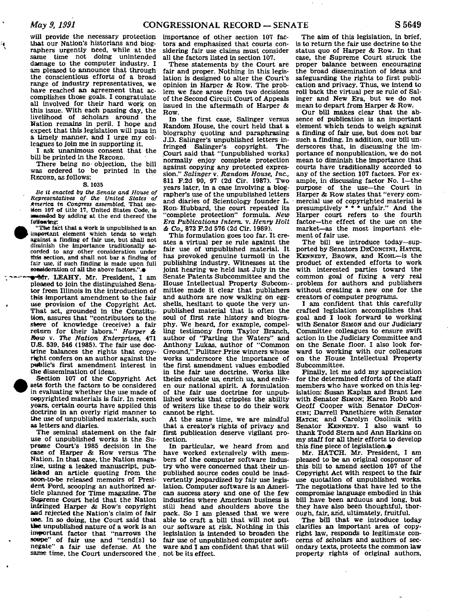•

۹

•

will provide the necessary protection that our Nation's historians and biographers urgently need, while at the same time not doing unintended damage to the computer industry. I am pleased to announce that through the conscientious efforts of a broad range of industry representatives, we have reached an agreement that accomplishes those goals. I congratulate all involved for their hard work on this issue. With each passing day, the livelihood of scholars around the Nation remains in peril. I hope and expect that this legislation will pass in a timely manner, and I urge my colleagues to join me in supporting it.

I ask unanimous consent that the bill be printed in the RECORD.

There being no objection, the bill was ordered to be printed in the RECORD, as follows:

S.1035

*Be it enacted by the Senate and House of Representatives of the United States of America in Congress assembled,* That sec-Mon 107 of title 17, United States Code, is amended by adding at the end thereof the **f ©flawing:** 

"The fact that a work is unpublished is an important element which tends to weigh against a finding of fair use, but shall not diminish the Importance traditionally accorded to any other consideration under this section, and shall not bar a finding of fair use, if such finding *is* made upon full consideration of all the above factors.". $\bullet$ 

 $\rightarrow$ <sup>-</sup>Mr. LEAHY. Mr. President, I am pleased to join the distinguished Senator from Illinois in the introduction of this important amendment to the fair use provision of the Copyright Act. That act, grounded in the Constitution, assures that "contributors to the sbere of knowledge (receive) a fair return for their labors." *Harper &*  fteno *v. The Nation Enterprises,* 471 U.S. 539, 546 (1985). The fair use doctrine balances the rights that copyright confers on an author against the public's first amendment interest in the dissemination of ideas.

Section 107 of the Copyright Act sets forth the factors to be considered in evaluating whether the use made of copyrighted materials is fair. In recent years, certain courts have applied this doctrine in an overly rigid manner to the use of unpublished materials, such as letters and diaries.

The seminal statement on the fair use of unpublished works is the Supreme Court's 1985 decision in the case of Harper & Row versus The Nation. In that case, the Nation magazine, using a leaked manuscript, published an article quoting from the soon-to-be released memoirs of President Ford, scooping an authorized article planned for Time magazine. The Supreme Court held that the Nation infringed Harper & Row's copyright and rejected the Nation's claim of fair use. In so doing, the Court said that **tbe** unpublished nature of a work is an important factor that "narrows the soepe" of fair use and "tendisl to negate" a fair use defense. At the same time, the Court underscored the not be its effect.

importance of other section 107 factors and emphasized that courts considering fair use claims must consider all the factors listed in section 107.

These statements by the Court are fair and proper. Nothing in this legislation is designed to alter the Court's opinion in Harper & Row. The problem we face arose from two decisions of the Second Circuit Court of Appeals issued in the aftermath of Harper & Row.

In the first case, Salinger versus Random House, the court held that a biography quoting and paraphrasing JJD. Salinger's unpublished letters infringed Salinger's copyright. The Court said that "[unpublished works] normally enjoy complete protection against copying any protected expression." *Salinger* v. *Random House, Inc.,*  811 P.2d 90, 97 (2d Cir. 1987). Two years later, in a case involving a biographer's use of the unpublished letters and diaries of Scientology founder L. Ron- Hubbard, the court repeated its "complete protection" formula. *New Era Publications Intern,* v. *Henry Holt & Co.,* 873 F.2d 576 (2d Cir. 1989).

This formulation goes too far. It creates a virtual per se rule against the fair use of unpublished material. It has provoked genuine turmoil in the publishing industry. Witnesses at the joint hearing we held last July in the Senate Patents Subcommittee and the House Intellectual Property Subcommittee made it clear that publishers and authors are now walking on eggshells, hesitant to quote the very unpublished material that is often the soul of first rate history and biography. We heard, for example, compelling testimony from Taylor Branch, author of "Parting the Waters" and author of Farting the waters and<br>Anthony Lukas, author of "Common Ground," Pulitzer Prize winners whose works underscore the importance of the first amendment values embodied in the fair use doctrine. Works like theirs educate us, enrich us, and enliven our national spirit. A formulation of the fair use doctrine for unpublished works that cripples the ability of writers like these to do their work cannot be right.

At the same time, we are mindful that a creator's rights of privacy and first publication deserve vigilant protection.

In particular, we heard from and have worked extensively with members of the computer software industry who were concerned that their unpublished source codes could be inadvertently jeopardized by fair use legislation. Computer software is an American success story and one of the few industries where American business is still head and shoulders above the pack. So I am pleased that we were able to craft a bill that will not put our software at risk. Nothing in this legislation is intended to broaden the fair use of unpublished computer software and I am confident that that will

The aim of this legislation, in brief, is to return the fair use doctrine to the status quo of Harper & Row. In that case, the Supreme Court struck the proper balance between encouraging the broad dissemination of ideas and safeguarding the rights to first publication and privacy. Thus, we intend to roll back the virtual per se rule of Salinger and New Era, but we do not mean to depart from Harper & Row.

Our bill makes clear that the absence of publication is an important element which tends to weigh against a finding of fair use, but does not bar such a finding. In addition, our bill underscores that, in discussing the importance of nonpublication, we do not mean to diminish the importance that courts have traditionally accorded to any of the section 107 factors. For example, in discussing factor No. 1—the purpose of the use—the Court in Harper & Row states that "every commercial use of copyrighted material is presumptively • \* • unfair." And the Harper court refers to the fourth factor—the effect of the use on the market—as the most important element of fair use.

The bill we introduce today—supported by Senators DECONCINI, HATCH, KENNEDY, BROWN, and KOHL—is the product of extended efforts to work with interested parties toward the common goal of fixing a very real problem for authors and publishers without creating a new one for the creators of computer programs.

I am confident that this carefully crafted legislation accomplishes that goal and I look forward to working with Senator SIMON and our Judiciary Committee colleagues to ensure swift action in the Judiciary Committee and on the Senate floor. I also look forward to working with our colleagues on the House Intellectual Property Subcommittee.

Finally, let me add my appreciation for the determined efforts of the staff members who have worked on this legislation: Susan Kaplan and Brant Lee with Senator SIMON; Karen Robb and Geoff Cooper with Senator DECON-CINI; Darrell Panethiere with Senator HATCH; and Carolyn Osolinik with Senator KENNEDY. I also want to thank Todd Stern and Ann Harkins on my staff for all their efforts to develop this fine piece of legislation. $\bullet$ 

Mr. HATCH. Mr. President, I am pleased to be an original cosponsor of this bill to amend section 107 of the Copyright Act with respect to the fair use quotation of unpublished works. The negotiations that have led to the compromise language embodied in this bill have been arduous and long, but they have also been thoughtful, thorough, fair, arid, ultimately, fruitful.

The bill that we introduce today clarifies an important area of copyright law, responds to legitimate concerns of scholars and authors of secondary texts, protects the common law property rights of original authors.